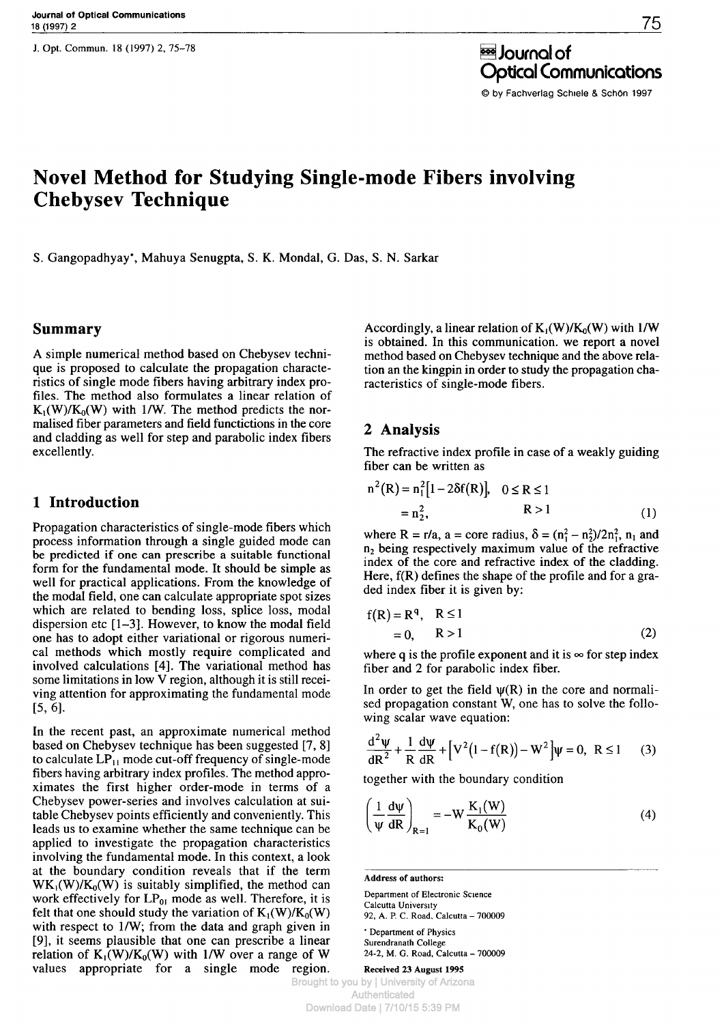J. Opt. Commun. 18 (1997) 2, 75-78

è Journal of Optical Communications © by Fachverlag Schiele & Schön 1997

# **Novel Method for Studying Single-mode Fibers involving Chebysev Technique**

S. Gangopadhyay", Mahuya Senugpta, S. K. Mondal, G. Das, S. N. Sarkar

### **Summary**

A simple numerical method based on Chebysev technique is proposed to calculate the propagation characteristics of single mode fibers having arbitrary index profiles. The method also formulates a linear relation of  $K_1(W)/K_0(W)$  with 1/W. The method predicts the normalised fiber parameters and field functictions in the core and cladding as well for step and parabolic index fibers excellently.

#### **1 Introduction**

Propagation characteristics of single-mode fibers which process information through a single guided mode can be predicted if one can prescribe a suitable functional form for the fundamental mode. It should be simple as well for practical applications. From the knowledge of the modal field, one can calculate appropriate spot sizes which are related to bending loss, splice loss, modal dispersion etc [1—3]. However, to know the modal field one has to adopt either variational or rigorous numerical methods which mostly require complicated and involved calculations [4]. The variational method has some limitations in low V region, although it is still receiving attention for approximating the fundamental mode [5, 6].

In the recent past, an approximate numerical method based on Chebysev technique has been suggested [7, 8] to calculate *LP<sup>t</sup>* , mode cut-off frequency of single-mode fibers having arbitrary index profiles. The method approximates the first higher order-mode in terms of a Chebysev power-series and involves calculation at suitable Chebysev points efficiently and conveniently. This leads us to examine whether the same technique can be applied to investigate the propagation characteristics involving the fundamental mode. In this context, a look at the boundary condition reveals that if the term  $WK_1(W)/K_0(W)$  is suitably simplified, the method can work effectively for  $LP_{01}$  mode as well. Therefore, it is felt that one should study the variation of  $K_1(W)/K_0(W)$ with respect to 1/W; from the data and graph given in [9], it seems plausible that one can prescribe a linear relation of  $K_1(W)/K_0(W)$  with 1/W over a range of W values appropriate for a single mode region.

Accordingly, a linear relation of  $K_1(W)/K_0(W)$  with 1/W is obtained. In this communication, we report a novel method based on Chebysev technique and the above relation an the kingpin in order to study the propagation characteristics of single-mode fibers.

#### **2 Analysis**

The refractive index profile in case of a weakly guiding fiber can be written as

$$
n^{2}(R) = n_{1}^{2}[1 - 2\delta f(R)], \quad 0 \le R \le 1
$$
  
=  $n_{2}^{2}$ , \t\t\t $R > 1$  (1)

where R = r/a, a = core radius,  $\delta = (n_1^2 - n_2^2)/2n_1^2$ ,  $n_1$  and  $n_2$  being respectively maximum value of the refractive index of the core and refractive index of the cladding. Here, f(R) defines the shape of the profile and for a graded index fiber it is given by:

$$
f(R) = Rq, R \le 1
$$
  
= 0, R > 1 (2)

where q is the profile exponent and it is  $\infty$  for step index fiber and 2 for parabolic index fiber.

In order to get the field  $\psi(R)$  in the core and normalised propagation constant W, one has to solve the following scalar wave equation:

$$
\frac{d^2 \psi}{dR^2} + \frac{1}{R} \frac{d\psi}{dR} + \left[ V^2 (1 - f(R)) - W^2 \right] \psi = 0, \ R \le 1 \tag{3}
$$

together with the boundary condition

$$
\left(\frac{1}{\Psi}\frac{d\Psi}{dR}\right)_{R=1} = -W\frac{K_1(W)}{K_0(W)}
$$
\n(4)

**Address of authors:**

Department of Electronic Science Calcutta University 92, A. P. C. Road. Calcutta - 700009

' Department of Physics Surendranath College 24-2, M. G. Road, Calcutta - 700009

**Received 23 August 1995**

Brought to you by | University of Arizona Authenticated Download Date | 7/10/15 5:39 PM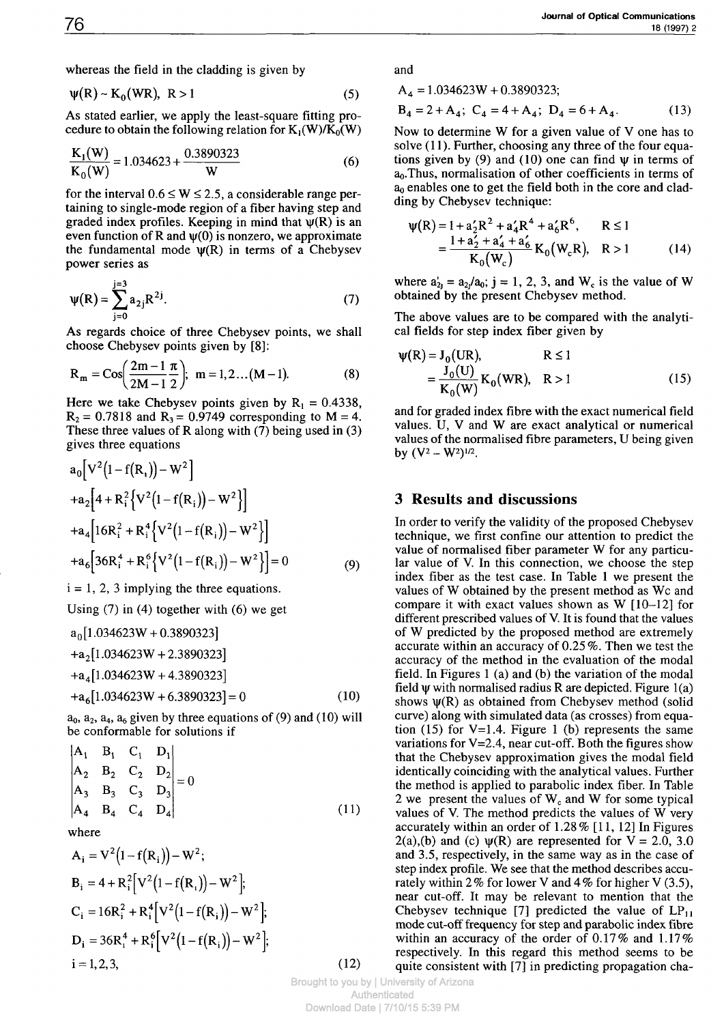whereas the field in the cladding is given by

$$
\psi(R) \sim K_0(WR), \ R > 1 \tag{5}
$$

As stated earlier, we apply the least-square fitting procedure to obtain the following relation for  $K_1(W)/K_0(W)$ 

$$
\frac{K_1(W)}{K_0(W)} = 1.034623 + \frac{0.3890323}{W}
$$
 (6)

for the interval  $0.6 \le W \le 2.5$ , a considerable range pertaining to single-mode region of a fiber having step and graded index profiles. Keeping in mind that  $\psi(R)$  is an even function of R and  $\psi(0)$  is nonzero, we approximate the fundamental mode  $\psi(R)$  in terms of a Chebysev power series as

$$
\Psi(R) = \sum_{j=0}^{j=3} a_{2j} R^{2j}.
$$
 (7)

As regards choice of three Chebysev points, we shall choose Chebysev points given by [8]:

$$
R_m = \cos\left(\frac{2m-1}{2M-1}\frac{\pi}{2}\right); \ m = 1, 2 \dots (M-1). \tag{8}
$$

Here we take Chebysev points given by  $R_1 = 0.4338$ ,  $R_2 = 0.7818$  and  $R_3 = 0.9749$  corresponding to  $M = 4$ . These three values of R along with  $(7)$  being used in  $(3)$ gives three equations

$$
a_0 \left[ V^2 (1 - f(R_1)) - W^2 \right] + a_2 \left[ 4 + R_i^2 \left\{ V^2 (1 - f(R_1)) - W^2 \right\} \right] + a_4 \left[ 16R_i^2 + R_i^4 \left\{ V^2 (1 - f(R_1)) - W^2 \right\} \right] + a_6 \left[ 36R_i^4 + R_i^6 \left\{ V^2 (1 - f(R_1)) - W^2 \right\} \right] = 0
$$
 (9)

 $i = 1, 2, 3$  implying the three equations.

Using (7) in (4) together with (6) we get

$$
a_0[1.034623W + 0.3890323]
$$
  
+
$$
a_2[1.034623W + 2.3890323]
$$
  
+
$$
a_4[1.034623W + 4.3890323]
$$
  
+
$$
a_6[1.034623W + 6.3890323] = 0
$$
 (10)

 $a_0$ ,  $a_2$ ,  $a_4$ ,  $a_6$  given by three equations of (9) and (10) will be conformable for solutions if

$$
\begin{vmatrix} A_1 & B_1 & C_1 & D_1 \ A_2 & B_2 & C_2 & D_2 \ A_3 & B_3 & C_3 & D_3 \ A_4 & B_4 & C_4 & D_4 \end{vmatrix} = 0
$$
\n(11)

where

$$
A_{i} = V^{2}(1 - f(R_{i})) - W^{2};
$$
  
\n
$$
B_{i} = 4 + R_{i}^{2}[V^{2}(1 - f(R_{i})) - W^{2}];
$$
  
\n
$$
C_{i} = 16R_{i}^{2} + R_{i}^{4}[V^{2}(1 - f(R_{i})) - W^{2}];
$$
  
\n
$$
D_{i} = 36R_{i}^{4} + R_{i}^{6}[V^{2}(1 - f(R_{i})) - W^{2}];
$$
  
\n
$$
i = 1, 2, 3,
$$

and

$$
A_4 = 1.034623W + 0.3890323;
$$

$$
B_4 = 2 + A_4; C_4 = 4 + A_4; D_4 = 6 + A_4.
$$
 (13)

Now to determine W for a given value of V one has to solve (11). Further, choosing any three of the four equations given by (9) and (10) one can find  $\psi$  in terms of  $a<sub>0</sub>$ . Thus, normalisation of other coefficients in terms of ao enables one to get the field both in the core and cladding by Chebysev technique:

$$
\Psi(R) = 1 + a_2' R^2 + a_4' R^4 + a_6' R^6, \qquad R \le 1
$$
  
= 
$$
\frac{1 + a_2' + a_4' + a_6'}{K_0(W_c)} K_0(W_c, R), \quad R > 1
$$
 (14)

where  $a'_{2j} = a_{2j}/a_0$ ; j = 1, 2, 3, and W<sub>c</sub> is the value of W obtained by the present Chebysev method.

The above values are to be compared with the analytical fields for step index fiber given by

$$
\Psi(R) = J_0(UR), \qquad R \le 1
$$
  
=  $\frac{J_0(U)}{K_0(W)} K_0(WR), \quad R > 1$  (15)

and for graded index fibre with the exact numerical field values. U, V and W are exact analytical or numerical values of the normalised fibre parameters, U being given by  $(V^2 - W^2)^{1/2}$ .

#### **3 Results and discussions**

In order to verify the validity of the proposed Chebysev technique, we first confine our attention to predict the value of normalised fiber parameter W for any particular value of V. In this connection, we choose the step index fiber as the test case. In Table 1 we present the values of W obtained by the present method as Wc and compare it with exact values shown as W [10-12] for different prescribed values of V. It is found that the values of W predicted by the proposed method are extremely accurate within an accuracy of 0.25 %. Then we test the accuracy of the method in the evaluation of the modal field. In Figures 1 (a) and (b) the variation of the modal field  $\psi$  with normalised radius R are depicted. Figure  $l(a)$ shows  $\psi(R)$  as obtained from Chebysev method (solid curve) along with simulated data (as crosses) from equation (15) for  $V=1.4$ . Figure 1 (b) represents the same variations for  $V=2.4$ , near cut-off. Both the figures show that the Chebysev approximation gives the modal field identically coinciding with the analytical values. Further the method is applied to parabolic index fiber. In Table 2 we present the values of  $W_c$  and W for some typical values of V. The method predicts the values of W very accurately within an order of 1.28 % [11, 12] In Figures 2(a),(b) and (c)  $\psi(R)$  are represented for V = 2.0, 3.0 and 3.5, respectively, in the same way as in the case of step index profile. We see that the method describes accurately within 2% for lower V and 4% for higher V (3.5), near cut-off. It may be relevant to mention that the Chebysev technique [7] predicted the value of  $LP_{11}$ mode cut-off frequency for step and parabolic index fibre within an accuracy of the order of 0.17% and 1.17% respectively. In this regard this method seems to be quite consistent with [7] in predicting propagation cha-

Brought to you by | University of Arizona Authenticated Download Date | 7/10/15 5:39 PM

(12)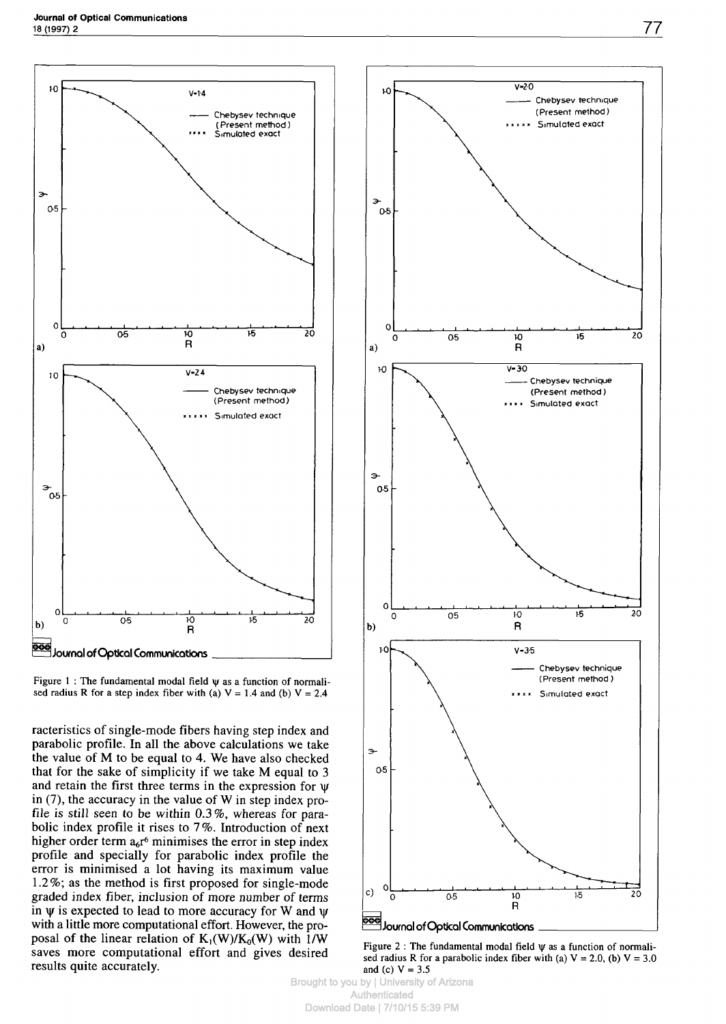

Figure 1 : The fundamental modal field  $\psi$  as a function of normalised radius R for a step index fiber with (a)  $V = 1.4$  and (b)  $V = 2.4$ 

racteristics of single-mode fibers having step index and parabolic profile. In all the above calculations we take the value of M to be equal to 4. We have also checked that for the sake of simplicity if we take M equal to 3 and retain the first three terms in the expression for w in (7), the accuracy in the value of W in step index profile is still seen to be within 0.3%, whereas for parabolic index profile it rises to 7%. Introduction of next higher order term  $a_6r^6$  minimises the error in step index profile and specially for parabolic index profile the error is minimised a lot having its maximum value 1.2%; as the method is first proposed for single-mode graded index fiber, inclusion of more number of terms in  $\psi$  is expected to lead to more accuracy for W and  $\psi$ with a little more computational effort. However, the proposal of the linear relation of  $K_1(W)/K_0(W)$  with 1/W saves more computational effort and gives desired results quite accurately.



Figure 2 : The fundamental modal field  $\psi$  as a function of normalised radius R for a parabolic index fiber with (a)  $V = 2.0$ , (b)  $V = 3.0$ and (c) *V = 3.5*